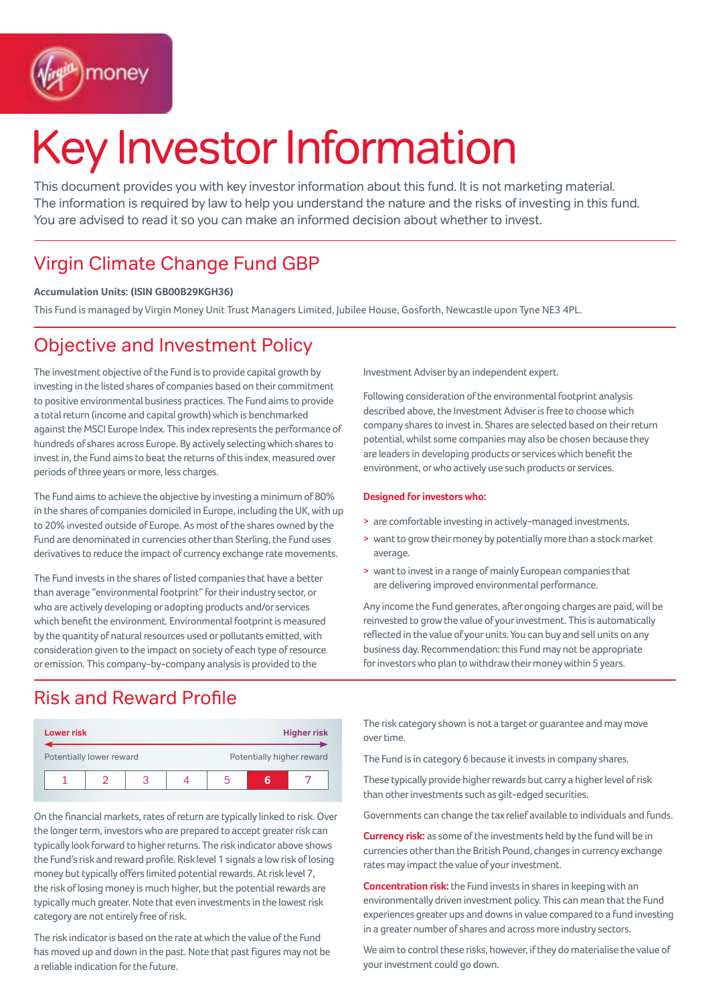

# Key Investor Information

This document provides you with key investor information about this fund. It is not marketing material. The information is required by law to help you understand the nature and the risks of investing in this fund. You are advised to read it so you can make an informed decision about whether to invest.

# Virgin Climate Change Fund GBP

### **Accumulation Units: (ISIN GB00B29KGH36)**

This Fund is managed by Virgin Money Unit Trust Managers Limited, Jubilee House, Gosforth, Newcastle upon Tyne NE3 4PL.

### Objective and Investment Policy

The investment objective of the Fund is to provide capital growth by investing in the listed shares of companies based on their commitment to positive environmental business practices. The Fund aims to provide a total return (income and capital growth) which is benchmarked against the MSCI Europe Index. This index represents the performance of hundreds of shares across Europe. By actively selecting which shares to invest in, the Fund aims to beat the returns of this index, measured over periods of three years or more, less charges.

The Fund aims to achieve the objective by investing a minimum of 80% in the shares of companies domiciled in Europe, including the UK, with up to 20% invested outside of Europe. As most of the shares owned by the Fund are denominated in currencies other than Sterling, the Fund uses derivatives to reduce the impact of currency exchange rate movements.

The Fund invests in the shares of listed companies that have a better than average "environmental footprint" for their industry sector, or who are actively developing or adopting products and/or services which benefit the environment. Environmental footprint is measured by the quantity of natural resources used or pollutants emitted, with consideration given to the impact on society of each type of resource or emission. This company-by-company analysis is provided to the

Investment Adviser by an independent expert.

Following consideration of the environmental footprint analysis described above, the Investment Adviser is free to choose which company shares to invest in. Shares are selected based on their return potential, whilst some companies may also be chosen because they are leaders in developing products or services which benefit the environment, or who actively use such products or services.

### **Designed for investors who:**

- > are comfortable investing in actively-managed investments.
- > want to grow their money by potentially more than a stock market average.
- > want to invest in a range of mainly European companies that are delivering improved environmental performance.

Any income the Fund generates, after ongoing charges are paid, will be reinvested to grow the value of your investment. This is automatically reflected in the value of your units. You can buy and sell units on any business day. Recommendation: this Fund may not be appropriate for investors who plan to withdraw their money within 5 years.

### Risk and Reward Profile

| <b>Lower risk</b>        |  |  |  | <b>Higher risk</b>        |  |  |
|--------------------------|--|--|--|---------------------------|--|--|
| Potentially lower reward |  |  |  | Potentially higher reward |  |  |
|                          |  |  |  |                           |  |  |

On the financial markets, rates of return are typically linked to risk. Over the longer term, investors who are prepared to accept greater risk can typically look forward to higher returns. The risk indicator above shows the Fund's risk and reward profile. Risk level 1 signals a low risk of losing money but typically offers limited potential rewards. At risk level 7, the risk of losing money is much higher, but the potential rewards are typically much greater. Note that even investments in the lowest risk category are not entirely free of risk.

The risk indicator is based on the rate at which the value of the Fund has moved up and down in the past. Note that past figures may not be a reliable indication for the future.

The risk category shown is not a target or guarantee and may move over time.

The Fund is in category 6 because it invests in company shares.

These typically provide higher rewards but carry a higher level of risk than other investments such as gilt-edged securities.

Governments can change the tax relief available to individuals and funds.

**Currency risk:** as some of the investments held by the fund will be in currencies other than the British Pound, changes in currency exchange rates may impact the value of your investment.

**Concentration risk:** the Fund invests in shares in keeping with an environmentally driven investment policy. This can mean that the Fund experiences greater ups and downs in value compared to a fund investing in a greater number of shares and across more industry sectors.

We aim to control these risks, however, if they do materialise the value of your investment could go down.